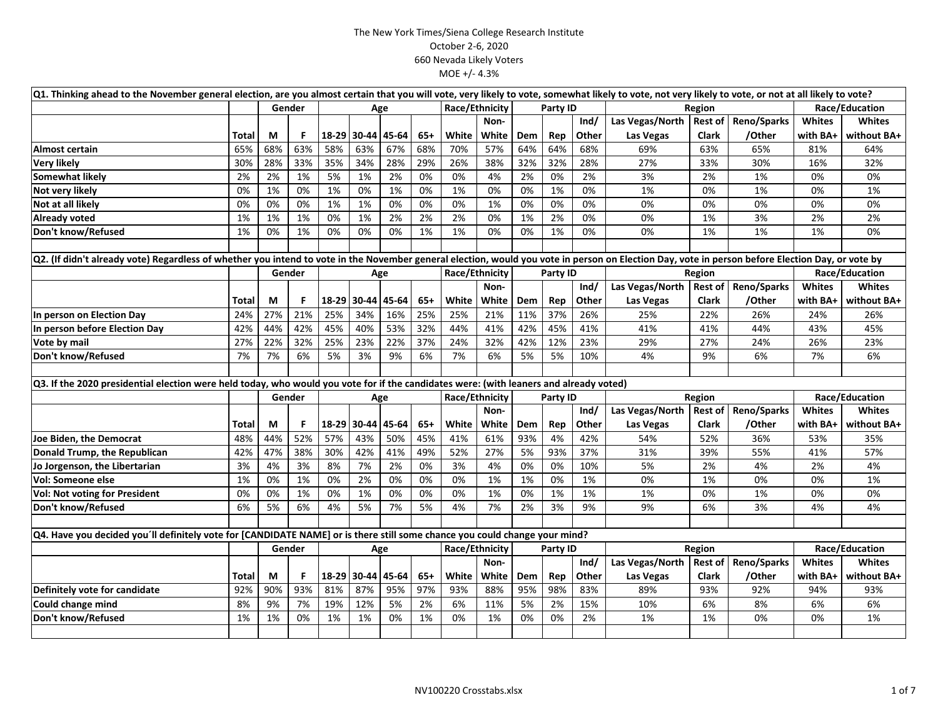|                                                                                                                                                                                                  | Q1. Thinking ahead to the November general election, are you almost certain that you will vote, very likely to vote, somewhat likely to vote, not very likely to vote, or not at all likely to vote? |     |        |     |                   |       |       |                |                |            |          |       |                           |                |                |                |                |
|--------------------------------------------------------------------------------------------------------------------------------------------------------------------------------------------------|------------------------------------------------------------------------------------------------------------------------------------------------------------------------------------------------------|-----|--------|-----|-------------------|-------|-------|----------------|----------------|------------|----------|-------|---------------------------|----------------|----------------|----------------|----------------|
|                                                                                                                                                                                                  |                                                                                                                                                                                                      |     | Gender |     | Age               |       |       | Race/Ethnicity |                |            | Party ID |       |                           | Region         |                | Race/Education |                |
|                                                                                                                                                                                                  |                                                                                                                                                                                                      |     |        |     |                   |       |       |                | Non-           |            |          | Ind/  | Las Vegas/North           | <b>Rest of</b> | Reno/Sparks    | <b>Whites</b>  | <b>Whites</b>  |
|                                                                                                                                                                                                  | <b>Total</b>                                                                                                                                                                                         | M   | F.     |     | 18-29 30-44       | 45-64 | $65+$ | White          | White          | <b>Dem</b> | Rep      | Other | Las Vegas                 | <b>Clark</b>   | /Other         | with BA+       | without BA+    |
| Almost certain                                                                                                                                                                                   | 65%                                                                                                                                                                                                  | 68% | 63%    | 58% | 63%               | 67%   | 68%   | 70%            | 57%            | 64%        | 64%      | 68%   | 69%                       | 63%            | 65%            | 81%            | 64%            |
| <b>Very likely</b>                                                                                                                                                                               | 30%                                                                                                                                                                                                  | 28% | 33%    | 35% | 34%               | 28%   | 29%   | 26%            | 38%            | 32%        | 32%      | 28%   | 27%                       | 33%            | 30%            | 16%            | 32%            |
| <b>Somewhat likelv</b>                                                                                                                                                                           | 2%                                                                                                                                                                                                   | 2%  | 1%     | 5%  | 1%                | 2%    | 0%    | 0%             | 4%             | 2%         | 0%       | 2%    | 3%                        | 2%             | 1%             | 0%             | 0%             |
| Not very likely                                                                                                                                                                                  | 0%                                                                                                                                                                                                   | 1%  | 0%     | 1%  | 0%                | 1%    | 0%    | 1%             | 0%             | 0%         | 1%       | 0%    | 1%                        | 0%             | 1%             | 0%             | 1%             |
| Not at all likely                                                                                                                                                                                | 0%                                                                                                                                                                                                   | 0%  | 0%     | 1%  | 1%                | 0%    | 0%    | 0%             | 1%             | 0%         | 0%       | 0%    | 0%                        | 0%             | 0%             | 0%             | 0%             |
| <b>Already voted</b>                                                                                                                                                                             | 1%                                                                                                                                                                                                   | 1%  | 1%     | 0%  | 1%                | 2%    | 2%    | 2%             | 0%             | 1%         | 2%       | 0%    | 0%                        | 1%             | 3%             | 2%             | 2%             |
| Don't know/Refused                                                                                                                                                                               | 1%                                                                                                                                                                                                   | 0%  | 1%     | 0%  | 0%                | 0%    | 1%    | 1%             | 0%             | 0%         | 1%       | 0%    | 0%                        | 1%             | 1%             | 1%             | 0%             |
|                                                                                                                                                                                                  |                                                                                                                                                                                                      |     |        |     |                   |       |       |                |                |            |          |       |                           |                |                |                |                |
| Q2. (If didn't already vote) Regardless of whether you intend to vote in the November general election, would you vote in person on Election Day, vote in person before Election Day, or vote by |                                                                                                                                                                                                      |     |        |     |                   |       |       |                |                |            |          |       |                           |                |                |                |                |
|                                                                                                                                                                                                  |                                                                                                                                                                                                      |     | Gender |     | Age               |       |       |                | Race/Ethnicity | Party ID   |          |       |                           | Region         |                |                | Race/Education |
|                                                                                                                                                                                                  |                                                                                                                                                                                                      |     |        |     |                   |       |       |                | Non-           |            |          | Ind/  | Las Vegas/North   Rest of |                | Reno/Sparks    | <b>Whites</b>  | <b>Whites</b>  |
|                                                                                                                                                                                                  | <b>Total</b>                                                                                                                                                                                         | M   | F.     |     | 18-29 30-44       | 45-64 | $65+$ | White          | White          | Dem        | Rep      | Other | Las Vegas                 | Clark          | /Other         | with BA+       | without BA+    |
| In person on Election Day                                                                                                                                                                        | 24%                                                                                                                                                                                                  | 27% | 21%    | 25% | 34%               | 16%   | 25%   | 25%            | 21%            | 11%        | 37%      | 26%   | 25%                       | 22%            | 26%            | 24%            | 26%            |
| In person before Election Day                                                                                                                                                                    | 42%                                                                                                                                                                                                  | 44% | 42%    | 45% | 40%               | 53%   | 32%   | 44%            | 41%            | 42%        | 45%      | 41%   | 41%                       | 41%            | 44%            | 43%            | 45%            |
| Vote by mail                                                                                                                                                                                     | 27%                                                                                                                                                                                                  | 22% | 32%    | 25% | 23%               | 22%   | 37%   | 24%            | 32%            | 42%        | 12%      | 23%   | 29%                       | 27%            | 24%            | 26%            | 23%            |
| Don't know/Refused                                                                                                                                                                               | 7%                                                                                                                                                                                                   | 7%  | 6%     | 5%  | 3%                | 9%    | 6%    | 7%             | 6%             | 5%         | 5%       | 10%   | 4%                        | 9%             | 6%             | 7%             | 6%             |
|                                                                                                                                                                                                  |                                                                                                                                                                                                      |     |        |     |                   |       |       |                |                |            |          |       |                           |                |                |                |                |
| Q3. If the 2020 presidential election were held today, who would you vote for if the candidates were: (with leaners and already voted)                                                           |                                                                                                                                                                                                      |     |        |     |                   |       |       |                |                |            |          |       |                           |                |                |                |                |
|                                                                                                                                                                                                  |                                                                                                                                                                                                      |     | Gender |     | Age               |       |       | Race/Ethnicity |                |            | Party ID |       | Region                    |                | Race/Education |                |                |
|                                                                                                                                                                                                  |                                                                                                                                                                                                      |     |        |     |                   |       |       |                | Non-           |            |          | Ind/  | Las Vegas/North           | <b>Rest of</b> | Reno/Sparks    | Whites         | <b>Whites</b>  |
|                                                                                                                                                                                                  | Total                                                                                                                                                                                                | M   | F.     |     | 18-29 30-44       | 45-64 | $65+$ | White          | White          | Dem        | Rep      | Other | Las Vegas                 | Clark          | /Other         | with BA+       | without BA+    |
| Joe Biden, the Democrat                                                                                                                                                                          | 48%                                                                                                                                                                                                  | 44% | 52%    | 57% | 43%               | 50%   | 45%   | 41%            | 61%            | 93%        | 4%       | 42%   | 54%                       | 52%            | 36%            | 53%            | 35%            |
| Donald Trump, the Republican                                                                                                                                                                     | 42%                                                                                                                                                                                                  | 47% | 38%    | 30% | 42%               | 41%   | 49%   | 52%            | 27%            | 5%         | 93%      | 37%   | 31%                       | 39%            | 55%            | 41%            | 57%            |
| Jo Jorgenson, the Libertarian                                                                                                                                                                    | 3%                                                                                                                                                                                                   | 4%  | 3%     | 8%  | 7%                | 2%    | 0%    | 3%             | 4%             | 0%         | 0%       | 10%   | 5%                        | 2%             | 4%             | 2%             | 4%             |
| <b>Vol: Someone else</b>                                                                                                                                                                         | 1%                                                                                                                                                                                                   | 0%  | 1%     | 0%  | 2%                | 0%    | 0%    | 0%             | 1%             | 1%         | 0%       | 1%    | 0%                        | 1%             | 0%             | 0%             | 1%             |
| <b>Vol: Not voting for President</b>                                                                                                                                                             | 0%                                                                                                                                                                                                   | 0%  | 1%     | 0%  | 1%                | 0%    | 0%    | 0%             | 1%             | 0%         | 1%       | 1%    | 1%                        | 0%             | 1%             | 0%             | 0%             |
| Don't know/Refused                                                                                                                                                                               | 6%                                                                                                                                                                                                   | 5%  | 6%     | 4%  | 5%                | 7%    | 5%    | 4%             | 7%             | 2%         | 3%       | 9%    | 9%                        | 6%             | 3%             | 4%             | 4%             |
|                                                                                                                                                                                                  |                                                                                                                                                                                                      |     |        |     |                   |       |       |                |                |            |          |       |                           |                |                |                |                |
| Q4. Have you decided you'll definitely vote for [CANDIDATE NAME] or is there still some chance you could change your mind?                                                                       |                                                                                                                                                                                                      |     |        |     |                   |       |       |                |                |            |          |       |                           |                |                |                |                |
|                                                                                                                                                                                                  |                                                                                                                                                                                                      |     | Gender |     | Age               |       |       | Race/Ethnicity |                |            | Party ID |       |                           | Region         |                |                | Race/Education |
|                                                                                                                                                                                                  |                                                                                                                                                                                                      |     |        |     |                   |       |       |                | Non-           |            |          | Ind/  | Las Vegas/North   Rest of |                | Reno/Sparks    | <b>Whites</b>  | <b>Whites</b>  |
|                                                                                                                                                                                                  | Total                                                                                                                                                                                                | М   | F.     |     | 18-29 30-44 45-64 |       | $65+$ | White          | White          | <b>Dem</b> | Rep      | Other | Las Vegas                 | <b>Clark</b>   | /Other         | with BA+       | without BA+    |
| Definitely vote for candidate                                                                                                                                                                    | 92%                                                                                                                                                                                                  | 90% | 93%    | 81% | 87%               | 95%   | 97%   | 93%            | 88%            | 95%        | 98%      | 83%   | 89%                       | 93%            | 92%            | 94%            | 93%            |
| Could change mind                                                                                                                                                                                | 8%                                                                                                                                                                                                   | 9%  | 7%     | 19% | 12%               | 5%    | 2%    | 6%             | 11%            | 5%         | 2%       | 15%   | 10%                       | 6%             | 8%             | 6%             | 6%             |
| Don't know/Refused                                                                                                                                                                               | 1%                                                                                                                                                                                                   | 1%  | 0%     | 1%  | 1%                | 0%    | 1%    | 0%             | 1%             | 0%         | 0%       | 2%    | 1%                        | 1%             | 0%             | 0%             | 1%             |
|                                                                                                                                                                                                  |                                                                                                                                                                                                      |     |        |     |                   |       |       |                |                |            |          |       |                           |                |                |                |                |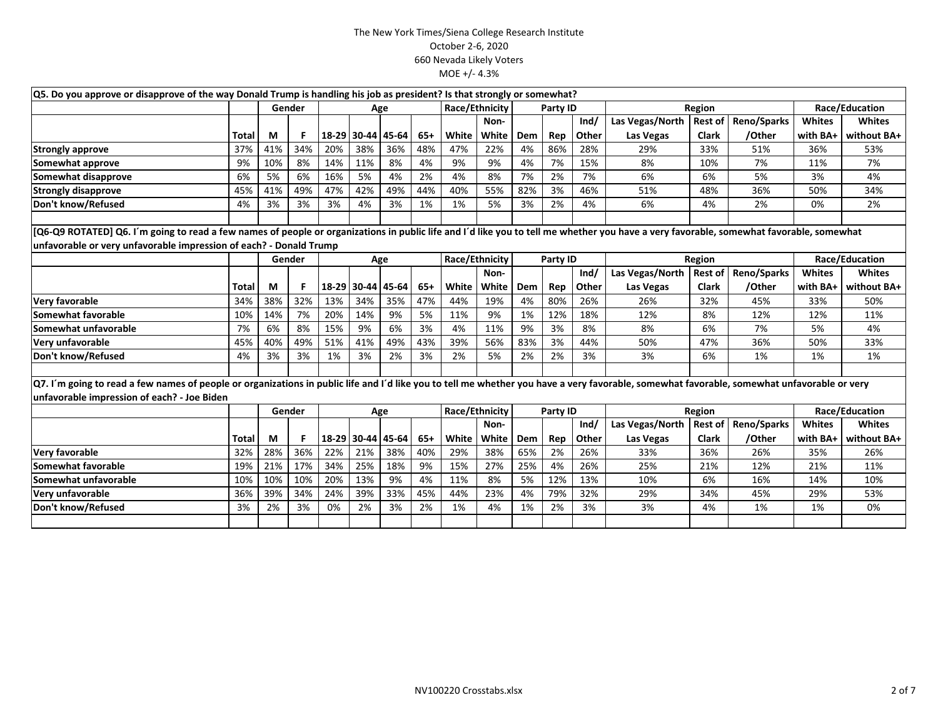|                                                                                                                                                                                             | Q5. Do you approve or disapprove of the way Donald Trump is handling his job as president? Is that strongly or somewhat?<br>Race/Ethnicity<br>Race/Education<br>Gender<br>Age |     |        |       |             |       |       |                |       |     |          |       |                 |                |                    |                |                |  |
|---------------------------------------------------------------------------------------------------------------------------------------------------------------------------------------------|-------------------------------------------------------------------------------------------------------------------------------------------------------------------------------|-----|--------|-------|-------------|-------|-------|----------------|-------|-----|----------|-------|-----------------|----------------|--------------------|----------------|----------------|--|
|                                                                                                                                                                                             |                                                                                                                                                                               |     |        |       |             |       |       |                |       |     | Party ID |       |                 | Region         |                    |                |                |  |
|                                                                                                                                                                                             |                                                                                                                                                                               |     |        |       |             |       |       |                | Non-  |     |          | Ind/  | Las Vegas/North | <b>Rest of</b> | Reno/Sparks        | <b>Whites</b>  | <b>Whites</b>  |  |
|                                                                                                                                                                                             | Total                                                                                                                                                                         | M   | F.     | 18-29 | 30-44       | 45-64 | $65+$ | White          | White | Dem | Rep      | Other | Las Vegas       | <b>Clark</b>   | /Other             | with BA+       | without BA+    |  |
| <b>Strongly approve</b>                                                                                                                                                                     | 37%                                                                                                                                                                           | 41% | 34%    | 20%   | 38%         | 36%   | 48%   | 47%            | 22%   | 4%  | 86%      | 28%   | 29%             | 33%            | 51%                | 36%            | 53%            |  |
| Somewhat approve                                                                                                                                                                            | 9%                                                                                                                                                                            | 10% | 8%     | 14%   | 11%         | 8%    | 4%    | 9%             | 9%    | 4%  | 7%       | 15%   | 8%              | 10%            | 7%                 | 11%            | 7%             |  |
| Somewhat disapprove                                                                                                                                                                         | 6%                                                                                                                                                                            | 5%  | 6%     | 16%   | 5%          | 4%    | 2%    | 4%             | 8%    | 7%  | 2%       | 7%    | 6%              | 6%             | 5%                 | 3%             | 4%             |  |
| <b>Strongly disapprove</b>                                                                                                                                                                  | 45%                                                                                                                                                                           | 41% | 49%    | 47%   | 42%         | 49%   | 44%   | 40%            | 55%   | 82% | 3%       | 46%   | 51%             | 48%            | 36%                | 50%            | 34%            |  |
| Don't know/Refused                                                                                                                                                                          | 4%                                                                                                                                                                            | 3%  | 3%     | 3%    | 4%          | 3%    | 1%    | 1%             | 5%    | 3%  | 2%       | 4%    | 6%              | 4%             | 2%                 | 0%             | 2%             |  |
|                                                                                                                                                                                             |                                                                                                                                                                               |     |        |       |             |       |       |                |       |     |          |       |                 |                |                    |                |                |  |
| [Q6-Q9 ROTATED] Q6. I'm going to read a few names of people or organizations in public life and I'd like you to tell me whether you have a very favorable, somewhat favorable, somewhat     |                                                                                                                                                                               |     |        |       |             |       |       |                |       |     |          |       |                 |                |                    |                |                |  |
| unfavorable or very unfavorable impression of each? - Donald Trump                                                                                                                          |                                                                                                                                                                               |     |        |       |             |       |       |                |       |     |          |       |                 |                |                    |                |                |  |
|                                                                                                                                                                                             |                                                                                                                                                                               |     | Gender |       |             | Age   |       | Race/Ethnicity |       |     | Party ID |       |                 | Region         |                    | Race/Education |                |  |
|                                                                                                                                                                                             |                                                                                                                                                                               |     |        |       |             |       |       |                | Non-  |     |          | Ind/  | Las Vegas/North | <b>Rest of</b> | Reno/Sparks        | <b>Whites</b>  | <b>Whites</b>  |  |
|                                                                                                                                                                                             | <b>Total</b>                                                                                                                                                                  | M   | F.     | 18-29 | 30-44 45-64 |       | $65+$ | White          | White | Dem | Rep      | Other | Las Vegas       | <b>Clark</b>   | /Other             | with BA+       | without BA+    |  |
| Very favorable                                                                                                                                                                              | 34%                                                                                                                                                                           | 38% | 32%    | 13%   | 34%         | 35%   | 47%   | 44%            | 19%   | 4%  | 80%      | 26%   | 26%             | 32%            | 45%                | 33%            | 50%            |  |
| Somewhat favorable                                                                                                                                                                          | 10%                                                                                                                                                                           | 14% | 7%     | 20%   | 14%         | 9%    | 5%    | 11%            | 9%    | 1%  | 12%      | 18%   | 12%             | 8%             | 12%                | 12%            | 11%            |  |
| Somewhat unfavorable                                                                                                                                                                        | 7%                                                                                                                                                                            | 6%  | 8%     | 15%   | 9%          | 6%    | 3%    | 4%             | 11%   | 9%  | 3%       | 8%    | 8%              | 6%             | 7%                 | 5%             | 4%             |  |
| Very unfavorable                                                                                                                                                                            | 45%                                                                                                                                                                           | 40% | 49%    | 51%   | 41%         | 49%   | 43%   | 39%            | 56%   | 83% | 3%       | 44%   | 50%             | 47%            | 36%                | 50%            | 33%            |  |
| Don't know/Refused                                                                                                                                                                          | 4%                                                                                                                                                                            | 3%  | 3%     | 1%    | 3%          | 2%    | 3%    | 2%             | 5%    | 2%  | 2%       | 3%    | 3%              | 6%             | 1%                 | 1%             | 1%             |  |
|                                                                                                                                                                                             |                                                                                                                                                                               |     |        |       |             |       |       |                |       |     |          |       |                 |                |                    |                |                |  |
| Q7. I'm going to read a few names of people or organizations in public life and I'd like you to tell me whether you have a very favorable, somewhat favorable, somewhat unfavorable or very |                                                                                                                                                                               |     |        |       |             |       |       |                |       |     |          |       |                 |                |                    |                |                |  |
| unfavorable impression of each? - Joe Biden                                                                                                                                                 |                                                                                                                                                                               |     |        |       |             |       |       |                |       |     |          |       |                 |                |                    |                |                |  |
|                                                                                                                                                                                             |                                                                                                                                                                               |     | Gender |       |             | Age   |       | Race/Ethnicity |       |     | Party ID |       |                 | Region         |                    |                | Race/Education |  |
|                                                                                                                                                                                             |                                                                                                                                                                               |     |        |       |             |       |       |                | Non-  |     |          | Ind/  | Las Vegas/North | <b>Rest of</b> | <b>Reno/Sparks</b> | <b>Whites</b>  | <b>Whites</b>  |  |
|                                                                                                                                                                                             | Total                                                                                                                                                                         | M   | F.     | 18-29 | 30-44 45-64 |       | 65+   | White          | White | Dem | Rep      | Other | Las Vegas       | <b>Clark</b>   | /Other             | with BA+       | without BA+    |  |
| Very favorable                                                                                                                                                                              | 32%                                                                                                                                                                           | 28% | 36%    | 22%   | 21%         | 38%   | 40%   | 29%            | 38%   | 65% | 2%       | 26%   | 33%             | 36%            | 26%                | 35%            | 26%            |  |
| Somewhat favorable                                                                                                                                                                          | 19%                                                                                                                                                                           | 21% | 17%    | 34%   | 25%         | 18%   | 9%    | 15%            | 27%   | 25% | 4%       | 26%   | 25%             | 21%            | 12%                | 21%            | 11%            |  |
| Somewhat unfavorable                                                                                                                                                                        | 10%                                                                                                                                                                           | 10% | 10%    | 20%   | 13%         | 9%    | 4%    | 11%            | 8%    | 5%  | 12%      | 13%   | 10%             | 6%             | 16%                | 14%            | 10%            |  |
| Very unfavorable                                                                                                                                                                            | 36%                                                                                                                                                                           | 39% | 34%    | 24%   | 39%         | 33%   | 45%   | 44%            | 23%   | 4%  | 79%      | 32%   | 29%             | 34%            | 45%                | 29%            | 53%            |  |
| Don't know/Refused                                                                                                                                                                          | 3%                                                                                                                                                                            | 2%  | 3%     | 0%    | 2%          | 3%    | 2%    | 1%             | 4%    | 1%  | 2%       | 3%    | 3%              | 4%             | 1%                 | 1%             | 0%             |  |
|                                                                                                                                                                                             |                                                                                                                                                                               |     |        |       |             |       |       |                |       |     |          |       |                 |                |                    |                |                |  |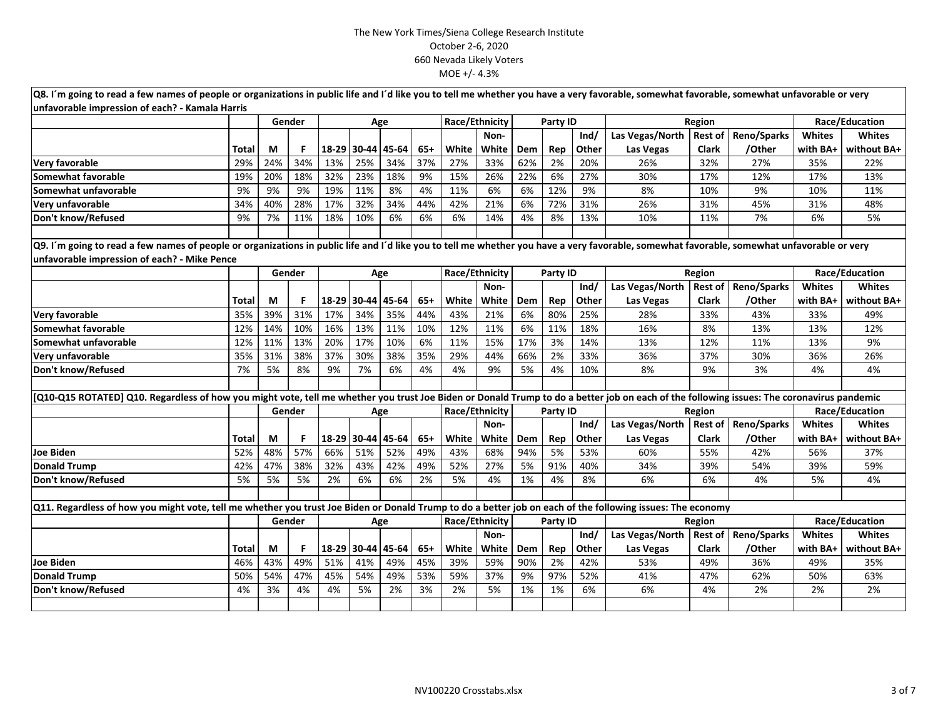| Q8. I'm going to read a few names of people or organizations in public life and I'd like you to tell me whether you have a very favorable, somewhat favorable, somewhat unfavorable or very |              |     |                                                                                                                                                                                             |       |                   |     |       |                |                |          |          |       |                 |                |                     |                |                |
|---------------------------------------------------------------------------------------------------------------------------------------------------------------------------------------------|--------------|-----|---------------------------------------------------------------------------------------------------------------------------------------------------------------------------------------------|-------|-------------------|-----|-------|----------------|----------------|----------|----------|-------|-----------------|----------------|---------------------|----------------|----------------|
| unfavorable impression of each? - Kamala Harris                                                                                                                                             |              |     | <b>Gender</b>                                                                                                                                                                               |       | Age               |     |       | Race/Ethnicity |                |          | Party ID |       |                 | Region         |                     |                | Race/Education |
|                                                                                                                                                                                             |              |     |                                                                                                                                                                                             |       |                   |     |       |                | Non-           |          |          | Ind/  | Las Vegas/North | <b>Rest of</b> | <b>Reno/Sparks</b>  | <b>Whites</b>  | <b>Whites</b>  |
|                                                                                                                                                                                             | Total        | M   | F                                                                                                                                                                                           | 18-29 | 30-44 45-64       |     | $65+$ | White          | White          | Dem      | Rep      | Other | Las Vegas       | <b>Clark</b>   | /Other              | with BA+       | without BA+    |
| <b>Very favorable</b>                                                                                                                                                                       | 29%          | 24% | 34%                                                                                                                                                                                         | 13%   | 25%               | 34% | 37%   | 27%            | 33%            | 62%      | 2%       | 20%   | 26%             | 32%            | 27%                 | 35%            | 22%            |
| Somewhat favorable                                                                                                                                                                          | 19%          | 20% | 18%                                                                                                                                                                                         | 32%   | 23%               | 18% | 9%    | 15%            | 26%            | 22%      | 6%       | 27%   | 30%             | 17%            | 12%                 | 17%            | 13%            |
| <b>Somewhat unfavorable</b>                                                                                                                                                                 | 9%           | 9%  | 9%                                                                                                                                                                                          | 19%   | 11%               | 8%  | 4%    | 11%            | 6%             | 6%       | 12%      | 9%    | 8%              | 10%            | 9%                  | 10%            | 11%            |
| Very unfavorable                                                                                                                                                                            | 34%          | 40% | 28%                                                                                                                                                                                         | 17%   | 32%               | 34% | 44%   | 42%            | 21%            | 6%       | 72%      | 31%   | 26%             | 31%            | 45%                 | 31%            | 48%            |
| Don't know/Refused                                                                                                                                                                          | 9%           | 7%  | 11%                                                                                                                                                                                         | 18%   | 10%               | 6%  | 6%    | 6%             | 14%            | 4%       | 8%       | 13%   | 10%             | 11%            | 7%                  | 6%             | 5%             |
|                                                                                                                                                                                             |              |     |                                                                                                                                                                                             |       |                   |     |       |                |                |          |          |       |                 |                |                     |                |                |
|                                                                                                                                                                                             |              |     | Q9. I'm going to read a few names of people or organizations in public life and I'd like you to tell me whether you have a very favorable, somewhat favorable, somewhat unfavorable or very |       |                   |     |       |                |                |          |          |       |                 |                |                     |                |                |
| unfavorable impression of each? - Mike Pence                                                                                                                                                |              |     |                                                                                                                                                                                             |       |                   |     |       |                |                |          |          |       |                 |                |                     |                |                |
|                                                                                                                                                                                             |              |     | Gender                                                                                                                                                                                      |       | Age               |     |       |                | Race/Ethnicity | Party ID |          |       |                 | Region         |                     |                | Race/Education |
|                                                                                                                                                                                             |              |     |                                                                                                                                                                                             |       |                   |     |       |                | Non-           |          |          | Ind/  | Las Vegas/North | <b>Rest of</b> | Reno/Sparks         | Whites         | <b>Whites</b>  |
|                                                                                                                                                                                             | Total        | M   | F.                                                                                                                                                                                          | 18-29 | 30-44 45-64       |     | $65+$ | White          | White          | Dem      | Rep      | Other | Las Vegas       | Clark          | /Other              | with BA+       | without BA+    |
| Very favorable                                                                                                                                                                              | 35%          | 39% | 31%                                                                                                                                                                                         | 17%   | 34%               | 35% | 44%   | 43%            | 21%            | 6%       | 80%      | 25%   | 28%             | 33%            | 43%                 | 33%            | 49%            |
| Somewhat favorable                                                                                                                                                                          | 12%          | 14% | 10%                                                                                                                                                                                         | 16%   | 13%               | 11% | 10%   | 12%            | 11%            | 6%       | 11%      | 18%   | 16%             | 8%             | 13%                 | 13%            | 12%            |
| Somewhat unfavorable                                                                                                                                                                        | 12%          | 11% | 13%                                                                                                                                                                                         | 20%   | 17%               | 10% | 6%    | 11%            | 15%            | 17%      | 3%       | 14%   | 13%             | 12%            | 11%                 | 13%            | 9%             |
| Very unfavorable                                                                                                                                                                            | 35%          | 31% | 38%                                                                                                                                                                                         | 37%   | 30%               | 38% | 35%   | 29%            | 44%            | 66%      | 2%       | 33%   | 36%             | 37%            | 30%                 | 36%            | 26%            |
| Don't know/Refused                                                                                                                                                                          | 7%           | 5%  | 8%                                                                                                                                                                                          | 9%    | 7%                | 6%  | 4%    | 4%             | 9%             | 5%       | 4%       | 10%   | 8%              | 9%             | 3%                  | 4%             | 4%             |
|                                                                                                                                                                                             |              |     |                                                                                                                                                                                             |       |                   |     |       |                |                |          |          |       |                 |                |                     |                |                |
| [Q10-Q15 ROTATED] Q10. Regardless of how you might vote, tell me whether you trust Joe Biden or Donald Trump to do a better job on each of the following issues: The coronavirus pandemic   |              |     |                                                                                                                                                                                             |       |                   |     |       |                |                |          |          |       |                 |                |                     |                |                |
|                                                                                                                                                                                             |              |     | Gender                                                                                                                                                                                      |       | Age               |     |       | Race/Ethnicity |                |          | Party ID |       |                 | Region         |                     | Race/Education |                |
|                                                                                                                                                                                             |              |     |                                                                                                                                                                                             |       |                   |     |       |                | Non-           |          |          | Ind/  | Las Vegas/North |                | Rest of Reno/Sparks | Whites         | <b>Whites</b>  |
|                                                                                                                                                                                             | <b>Total</b> | M   | F.                                                                                                                                                                                          | 18-29 | 30-44 45-64       |     | $65+$ | White          | White          | Dem      | Rep      | Other | Las Vegas       | <b>Clark</b>   | /Other              | with BA+       | without BA+    |
| <b>Joe Biden</b>                                                                                                                                                                            | 52%          | 48% | 57%                                                                                                                                                                                         | 66%   | 51%               | 52% | 49%   | 43%            | 68%            | 94%      | 5%       | 53%   | 60%             | 55%            | 42%                 | 56%            | 37%            |
| <b>Donald Trump</b>                                                                                                                                                                         | 42%          | 47% | 38%                                                                                                                                                                                         | 32%   | 43%               | 42% | 49%   | 52%            | 27%            | 5%       | 91%      | 40%   | 34%             | 39%            | 54%                 | 39%            | 59%            |
| Don't know/Refused                                                                                                                                                                          | 5%           | 5%  | 5%                                                                                                                                                                                          | 2%    | 6%                | 6%  | 2%    | 5%             | 4%             | 1%       | 4%       | 8%    | 6%              | 6%             | 4%                  | 5%             | 4%             |
|                                                                                                                                                                                             |              |     |                                                                                                                                                                                             |       |                   |     |       |                |                |          |          |       |                 |                |                     |                |                |
| Q11. Regardless of how you might vote, tell me whether you trust Joe Biden or Donald Trump to do a better job on each of the following issues: The economy                                  |              |     |                                                                                                                                                                                             |       |                   |     |       |                |                |          |          |       |                 |                |                     |                |                |
|                                                                                                                                                                                             |              |     | Gender                                                                                                                                                                                      |       | Age               |     |       | Race/Ethnicity |                |          | Party ID |       |                 | Region         |                     |                | Race/Education |
|                                                                                                                                                                                             |              |     |                                                                                                                                                                                             |       |                   |     |       |                | Non-           |          |          | Ind/  | Las Vegas/North | <b>Rest of</b> | Reno/Sparks         | <b>Whites</b>  | <b>Whites</b>  |
|                                                                                                                                                                                             | <b>Total</b> | M   | F.                                                                                                                                                                                          |       | 18-29 30-44 45-64 |     | $65+$ | White          | White          | Dem      | Rep      | Other | Las Vegas       | <b>Clark</b>   | /Other              | with BA+       | without BA+    |
| Joe Biden                                                                                                                                                                                   | 46%          | 43% | 49%                                                                                                                                                                                         | 51%   | 41%               | 49% | 45%   | 39%            | 59%            | 90%      | 2%       | 42%   | 53%             | 49%            | 36%                 | 49%            | 35%            |
| <b>Donald Trump</b>                                                                                                                                                                         | 50%          | 54% | 47%                                                                                                                                                                                         | 45%   | 54%               | 49% | 53%   | 59%            | 37%            | 9%       | 97%      | 52%   | 41%             | 47%            | 62%                 | 50%            | 63%            |
| Don't know/Refused                                                                                                                                                                          | 4%           | 3%  | 4%                                                                                                                                                                                          | 4%    | 5%                | 2%  | 3%    | 2%             | 5%             | 1%       | 1%       | 6%    | 6%              | 4%             | 2%                  | 2%             | 2%             |
|                                                                                                                                                                                             |              |     |                                                                                                                                                                                             |       |                   |     |       |                |                |          |          |       |                 |                |                     |                |                |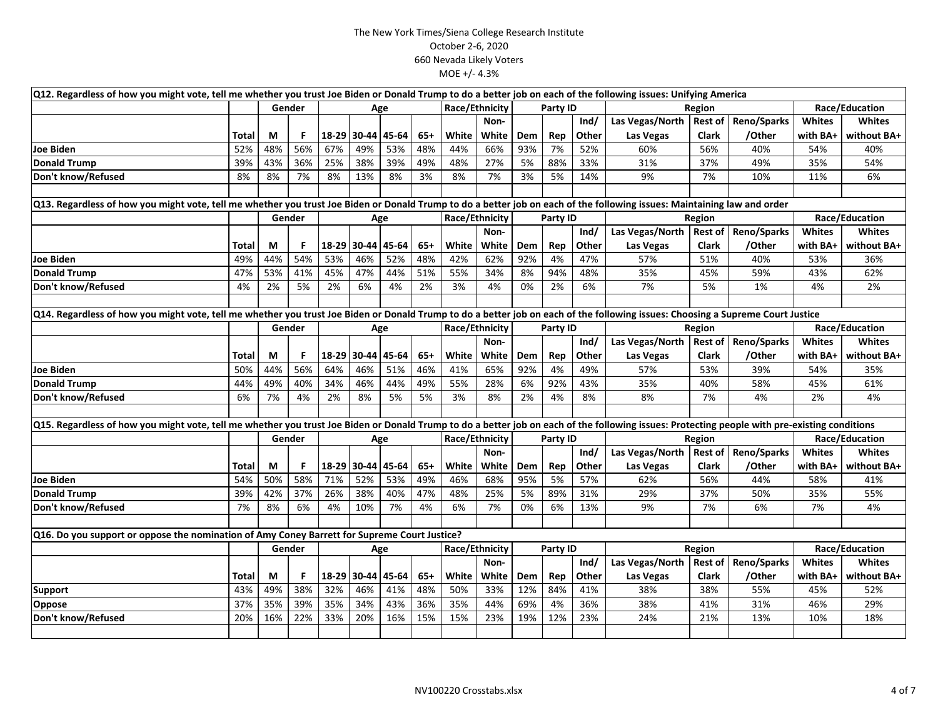| Q12. Regardless of how you might vote, tell me whether you trust Joe Biden or Donald Trump to do a better job on each of the following issues: Unifying America                               |       |     |        |     |                   |       |       |       |                |          |          |       |                 |                |                    |               |                |  |
|-----------------------------------------------------------------------------------------------------------------------------------------------------------------------------------------------|-------|-----|--------|-----|-------------------|-------|-------|-------|----------------|----------|----------|-------|-----------------|----------------|--------------------|---------------|----------------|--|
|                                                                                                                                                                                               |       |     | Gender |     | Age               |       |       |       | Race/Ethnicity |          | Party ID |       |                 | Region         |                    |               | Race/Education |  |
|                                                                                                                                                                                               |       |     |        |     |                   |       |       |       | Non-           |          |          | Ind/  | Las Vegas/North | <b>Rest of</b> | <b>Reno/Sparks</b> | <b>Whites</b> | <b>Whites</b>  |  |
|                                                                                                                                                                                               | Total | M   | F      |     | 18-29 30-44 45-64 |       | $65+$ | White | White          | Dem      | Rep      | Other | Las Vegas       | <b>Clark</b>   | /Other             | with BA+      | without BA+    |  |
| <b>Joe Biden</b>                                                                                                                                                                              | 52%   | 48% | 56%    | 67% | 49%               | 53%   | 48%   | 44%   | 66%            | 93%      | 7%       | 52%   | 60%             | 56%            | 40%                | 54%           | 40%            |  |
| <b>Donald Trump</b>                                                                                                                                                                           | 39%   | 43% | 36%    | 25% | 38%               | 39%   | 49%   | 48%   | 27%            | 5%       | 88%      | 33%   | 31%             | 37%            | 49%                | 35%           | 54%            |  |
| Don't know/Refused                                                                                                                                                                            | 8%    | 8%  | 7%     | 8%  | 13%               | 8%    | 3%    | 8%    | 7%             | 3%       | 5%       | 14%   | 9%              | 7%             | 10%                | 11%           | 6%             |  |
|                                                                                                                                                                                               |       |     |        |     |                   |       |       |       |                |          |          |       |                 |                |                    |               |                |  |
| Q13. Regardless of how you might vote, tell me whether you trust Joe Biden or Donald Trump to do a better job on each of the following issues: Maintaining law and order                      |       |     |        |     |                   |       |       |       |                |          |          |       |                 |                |                    |               |                |  |
|                                                                                                                                                                                               |       |     | Gender |     | Age               |       |       |       | Race/Ethnicity |          | Party ID |       |                 | Region         |                    |               | Race/Education |  |
|                                                                                                                                                                                               |       |     |        |     |                   |       |       |       | Non-           |          |          | Ind/  | Las Vegas/North | <b>Rest of</b> | Reno/Sparks        | <b>Whites</b> | <b>Whites</b>  |  |
|                                                                                                                                                                                               | Total | M   | F      |     | 18-29 30-44 45-64 |       | $65+$ | White | White          | Dem      | Rep      | Other | Las Vegas       | <b>Clark</b>   | /Other             | with BA+      | without BA+    |  |
| Joe Biden                                                                                                                                                                                     | 49%   | 44% | 54%    | 53% | 46%               | 52%   | 48%   | 42%   | 62%            | 92%      | 4%       | 47%   | 57%             | 51%            | 40%                | 53%           | 36%            |  |
| Donald Trump                                                                                                                                                                                  | 47%   | 53% | 41%    | 45% | 47%               | 44%   | 51%   | 55%   | 34%            | 8%       | 94%      | 48%   | 35%             | 45%            | 59%                | 43%           | 62%            |  |
| Don't know/Refused                                                                                                                                                                            | 4%    | 2%  | 5%     | 2%  | 6%                | 4%    | 2%    | 3%    | 4%             | 0%       | 2%       | 6%    | 7%              | 5%             | 1%                 | 4%            | 2%             |  |
|                                                                                                                                                                                               |       |     |        |     |                   |       |       |       |                |          |          |       |                 |                |                    |               |                |  |
| Q14. Regardless of how you might vote, tell me whether you trust Joe Biden or Donald Trump to do a better job on each of the following issues: Choosing a Supreme Court Justice               |       |     |        |     |                   |       |       |       |                |          |          |       |                 |                |                    |               |                |  |
|                                                                                                                                                                                               |       |     | Gender | Age |                   |       |       |       | Race/Ethnicity |          | Party ID |       |                 | Region         |                    |               | Race/Education |  |
|                                                                                                                                                                                               |       |     |        |     |                   |       |       |       | Non-           |          |          | Ind/  | Las Vegas/North | <b>Rest of</b> | <b>Reno/Sparks</b> | Whites        | <b>Whites</b>  |  |
|                                                                                                                                                                                               | Total | M   | F      |     | 18-29 30-44       | 45-64 | $65+$ | White | White          | Dem      | Rep      | Other | Las Vegas       | Clark          | /Other             | with BA+      | without BA+    |  |
| Joe Biden                                                                                                                                                                                     | 50%   | 44% | 56%    | 64% | 46%               | 51%   | 46%   | 41%   | 65%            | 92%      | 4%       | 49%   | 57%             | 53%            | 39%                | 54%           | 35%            |  |
| Donald Trump                                                                                                                                                                                  | 44%   | 49% | 40%    | 34% | 46%               | 44%   | 49%   | 55%   | 28%            | 6%       | 92%      | 43%   | 35%             | 40%            | 58%                | 45%           | 61%            |  |
| Don't know/Refused                                                                                                                                                                            | 6%    | 7%  | 4%     | 2%  | 8%                | 5%    | 5%    | 3%    | 8%             | 2%       | 4%       | 8%    | 8%              | 7%             | 4%                 | 2%            | 4%             |  |
|                                                                                                                                                                                               |       |     |        |     |                   |       |       |       |                |          |          |       |                 |                |                    |               |                |  |
| Q15. Regardless of how you might vote, tell me whether you trust Joe Biden or Donald Trump to do a better job on each of the following issues: Protecting people with pre-existing conditions |       |     |        |     |                   |       |       |       |                |          |          |       |                 |                |                    |               |                |  |
|                                                                                                                                                                                               |       |     | Gender |     |                   | Age   |       |       | Race/Ethnicity | Party ID |          |       | Region          | Race/Education |                    |               |                |  |
|                                                                                                                                                                                               |       |     |        |     |                   |       |       |       | Non-           |          |          | Ind/  | Las Vegas/North | <b>Rest of</b> | <b>Reno/Sparks</b> | Whites        | <b>Whites</b>  |  |
|                                                                                                                                                                                               | Total | М   | F      |     | 18-29 30-44 45-64 |       | $65+$ | White | White          | Dem      | Rep      | Other | Las Vegas       | <b>Clark</b>   | /Other             | with BA+      | without BA+    |  |
| Joe Biden                                                                                                                                                                                     | 54%   | 50% | 58%    | 71% | 52%               | 53%   | 49%   | 46%   | 68%            | 95%      | 5%       | 57%   | 62%             | 56%            | 44%                | 58%           | 41%            |  |
| <b>Donald Trump</b>                                                                                                                                                                           | 39%   | 42% | 37%    | 26% | 38%               | 40%   | 47%   | 48%   | 25%            | 5%       | 89%      | 31%   | 29%             | 37%            | 50%                | 35%           | 55%            |  |
| Don't know/Refused                                                                                                                                                                            | 7%    | 8%  | 6%     | 4%  | 10%               | 7%    | 4%    | 6%    | 7%             | 0%       | 6%       | 13%   | 9%              | 7%             | 6%                 | 7%            | 4%             |  |
|                                                                                                                                                                                               |       |     |        |     |                   |       |       |       |                |          |          |       |                 |                |                    |               |                |  |
| Q16. Do you support or oppose the nomination of Amy Coney Barrett for Supreme Court Justice?                                                                                                  |       |     |        |     |                   |       |       |       |                |          |          |       |                 |                |                    |               |                |  |
|                                                                                                                                                                                               |       |     | Gender |     |                   | Age   |       |       | Race/Ethnicity |          | Party ID |       |                 | Region         |                    |               | Race/Education |  |
|                                                                                                                                                                                               |       |     |        |     |                   |       |       |       | Non-           |          |          | Ind/  | Las Vegas/North | <b>Rest of</b> | Reno/Sparks        | <b>Whites</b> | <b>Whites</b>  |  |
|                                                                                                                                                                                               | Total | М   | F      |     | 18-29 30-44 45-64 |       | $65+$ | White | White          | Dem      | Rep      | Other | Las Vegas       | Clark          | /Other             | with BA+      | without BA+    |  |
| <b>Support</b>                                                                                                                                                                                | 43%   | 49% | 38%    | 32% | 46%               | 41%   | 48%   | 50%   | 33%            | 12%      | 84%      | 41%   | 38%             | 38%            | 55%                | 45%           | 52%            |  |
| Oppose                                                                                                                                                                                        | 37%   | 35% | 39%    | 35% | 34%               | 43%   | 36%   | 35%   | 44%            | 69%      | 4%       | 36%   | 38%             | 41%            | 31%                | 46%           | 29%            |  |
| Don't know/Refused                                                                                                                                                                            | 20%   | 16% | 22%    | 33% | 20%               | 16%   | 15%   | 15%   | 23%            | 19%      | 12%      | 23%   | 24%             | 21%            | 13%                | 10%           | 18%            |  |
|                                                                                                                                                                                               |       |     |        |     |                   |       |       |       |                |          |          |       |                 |                |                    |               |                |  |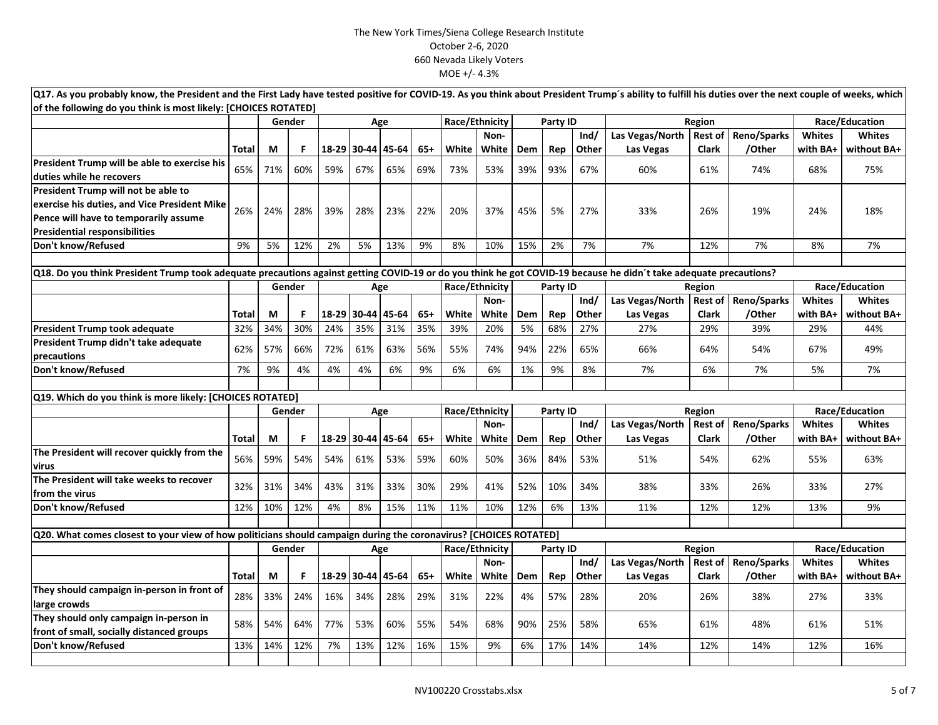| Q17. As you probably know, the President and the First Lady have tested positive for COVID-19. As you think about President Trump's ability to fulfill his duties over the next couple of weeks, which |              |          |           |              |                    |     |              |                |              |                  |            |              |                  |                |                    |                 |                    |
|--------------------------------------------------------------------------------------------------------------------------------------------------------------------------------------------------------|--------------|----------|-----------|--------------|--------------------|-----|--------------|----------------|--------------|------------------|------------|--------------|------------------|----------------|--------------------|-----------------|--------------------|
| of the following do you think is most likely: [CHOICES ROTATED]                                                                                                                                        |              |          |           |              |                    |     |              |                |              |                  |            |              |                  |                |                    |                 |                    |
|                                                                                                                                                                                                        |              |          | Gender    |              | Age                |     |              | Race/Ethnicity |              |                  | Party ID   |              |                  | Region         |                    | Race/Education  |                    |
|                                                                                                                                                                                                        |              |          |           |              |                    |     |              |                | Non-         |                  |            | Ind/         | Las Vegas/North  | <b>Rest of</b> | Reno/Sparks        | <b>Whites</b>   | <b>Whites</b>      |
|                                                                                                                                                                                                        | <b>Total</b> | M        | F.        | 18-29        | 30-44 45-64        |     | $65+$        | White          | White        | Dem              | Rep        | Other        | Las Vegas        | <b>Clark</b>   | /Other             | with BA+        | without BA+        |
| President Trump will be able to exercise his<br>duties while he recovers                                                                                                                               | 65%          | 71%      | 60%       | 59%          | 67%                | 65% | 69%          | 73%            | 53%          | 39%              | 93%        | 67%          | 60%              | 61%            | 74%                | 68%             | 75%                |
| President Trump will not be able to                                                                                                                                                                    |              |          |           |              |                    |     |              |                |              |                  |            |              |                  |                |                    |                 |                    |
| exercise his duties, and Vice President Mike                                                                                                                                                           | 26%          | 24%      | 28%       | 39%          | 28%                | 23% | 22%          | 20%            | 37%          | 45%              | 5%         | 27%          | 33%              | 26%            | 19%                | 24%             | 18%                |
| Pence will have to temporarily assume                                                                                                                                                                  |              |          |           |              |                    |     |              |                |              |                  |            |              |                  |                |                    |                 |                    |
| <b>Presidential responsibilities</b>                                                                                                                                                                   |              |          |           |              |                    |     |              |                |              |                  |            |              |                  |                |                    |                 |                    |
| Don't know/Refused                                                                                                                                                                                     | 9%           | 5%       | 12%       | 2%           | 5%                 | 13% | 9%           | 8%             | 10%          | 15%              | 2%         | 7%           | 7%               | 12%            | 7%                 | 8%              | 7%                 |
|                                                                                                                                                                                                        |              |          |           |              |                    |     |              |                |              |                  |            |              |                  |                |                    |                 |                    |
| Q18. Do you think President Trump took adequate precautions against getting COVID-19 or do you think he got COVID-19 because he didn't take adequate precautions?                                      |              |          |           |              |                    |     |              |                |              |                  |            |              |                  |                |                    |                 |                    |
|                                                                                                                                                                                                        |              |          | Gender    |              |                    | Age |              | Race/Ethnicity |              | Party ID         |            |              |                  | Region         |                    |                 | Race/Education     |
|                                                                                                                                                                                                        |              |          |           |              |                    |     |              |                | Non-         |                  |            | Ind/         | Las Vegas/North  | <b>Rest of</b> | <b>Reno/Sparks</b> | <b>Whites</b>   | <b>Whites</b>      |
|                                                                                                                                                                                                        | <b>Total</b> | М        | F.        | 18-29        | 30-44 45-64        |     | $65+$        | White          | White        | Dem              | Rep        | Other        | Las Vegas        | Clark          | /Other             | with BA+        | without BA+        |
| <b>President Trump took adequate</b>                                                                                                                                                                   | 32%          | 34%      | 30%       | 24%          | 35%                | 31% | 35%          | 39%            | 20%          | 5%               | 68%        | 27%          | 27%              | 29%            | 39%                | 29%             | 44%                |
| President Trump didn't take adequate<br>precautions                                                                                                                                                    | 62%          | 57%      | 66%       | 72%          | 61%                | 63% | 56%          | 55%            | 74%          | 94%              | 22%        | 65%          | 66%              | 64%            | 54%                | 67%             | 49%                |
| Don't know/Refused                                                                                                                                                                                     | 7%           | 9%       | 4%        | 4%           | 4%                 | 6%  | 9%           | 6%             | 6%           | 1%               | 9%         | 8%           | 7%               | 6%             | 7%                 | 5%              | 7%                 |
|                                                                                                                                                                                                        |              |          |           |              |                    |     |              |                |              |                  |            |              |                  |                |                    |                 |                    |
| Q19. Which do you think is more likely: [CHOICES ROTATED]                                                                                                                                              |              |          |           |              |                    |     |              |                |              |                  |            |              |                  |                |                    |                 |                    |
|                                                                                                                                                                                                        |              |          | Gender    |              | Age                |     |              | Race/Ethnicity |              | Party ID<br>Ind/ |            |              | Region           |                |                    |                 | Race/Education     |
|                                                                                                                                                                                                        |              |          |           |              |                    |     |              |                | Non-         |                  |            |              | Las Vegas/North  | <b>Rest of</b> | Reno/Sparks        | <b>Whites</b>   | <b>Whites</b>      |
| The President will recover quickly from the                                                                                                                                                            | Total<br>56% | М<br>59% | F.<br>54% | 18-29<br>54% | 30-44 45-64<br>61% | 53% | $65+$<br>59% | White<br>60%   | White<br>50% | Dem<br>36%       | Rep<br>84% | Other<br>53% | Las Vegas<br>51% | Clark<br>54%   | /Other<br>62%      | with BA+<br>55% | without BA+<br>63% |
| virus                                                                                                                                                                                                  |              |          |           |              |                    |     |              |                |              |                  |            |              |                  |                |                    |                 |                    |
| The President will take weeks to recover<br>from the virus                                                                                                                                             | 32%          | 31%      | 34%       | 43%          | 31%                | 33% | 30%          | 29%            | 41%          | 52%              | 10%        | 34%          | 38%              | 33%            | 26%                | 33%             | 27%                |
| Don't know/Refused                                                                                                                                                                                     | 12%          | 10%      | 12%       | 4%           | 8%                 | 15% | 11%          | 11%            | 10%          | 12%              | 6%         | 13%          | 11%              | 12%            | 12%                | 13%             | 9%                 |
|                                                                                                                                                                                                        |              |          |           |              |                    |     |              |                |              |                  |            |              |                  |                |                    |                 |                    |
| Q20. What comes closest to your view of how politicians should campaign during the coronavirus? [CHOICES ROTATED]                                                                                      |              |          |           |              |                    |     |              |                |              |                  |            |              |                  |                |                    |                 |                    |
|                                                                                                                                                                                                        |              |          | Gender    |              |                    | Age |              | Race/Ethnicity |              |                  | Party ID   |              |                  | Region         |                    |                 | Race/Education     |
|                                                                                                                                                                                                        |              |          |           |              |                    |     |              |                | Non-         |                  |            | Ind/         | Las Vegas/North  | <b>Rest of</b> | Reno/Sparks        | <b>Whites</b>   | <b>Whites</b>      |
|                                                                                                                                                                                                        | Total        | М        | F.        |              | 18-29 30-44 45-64  |     | $65+$        | White          | White        | Dem              | Rep        | Other        | Las Vegas        | <b>Clark</b>   | /Other             | with BA+        | without BA+        |
| They should campaign in-person in front of<br>large crowds                                                                                                                                             | 28%          | 33%      | 24%       | 16%          | 34%                | 28% | 29%          | 31%            | 22%          | 4%               | 57%        | 28%          | 20%              | 26%            | 38%                | 27%             | 33%                |
| They should only campaign in-person in<br>front of small, socially distanced groups                                                                                                                    | 58%          | 54%      | 64%       | 77%          | 53%                | 60% | 55%          | 54%            | 68%          | 90%              | 25%        | 58%          | 65%              | 61%            | 48%                | 61%             | 51%                |
| Don't know/Refused                                                                                                                                                                                     | 13%          | 14%      | 12%       | 7%           | 13%                | 12% | 16%          | 15%            | 9%           | 6%               | 17%        | 14%          | 14%              | 12%            | 14%                | 12%             | 16%                |
|                                                                                                                                                                                                        |              |          |           |              |                    |     |              |                |              |                  |            |              |                  |                |                    |                 |                    |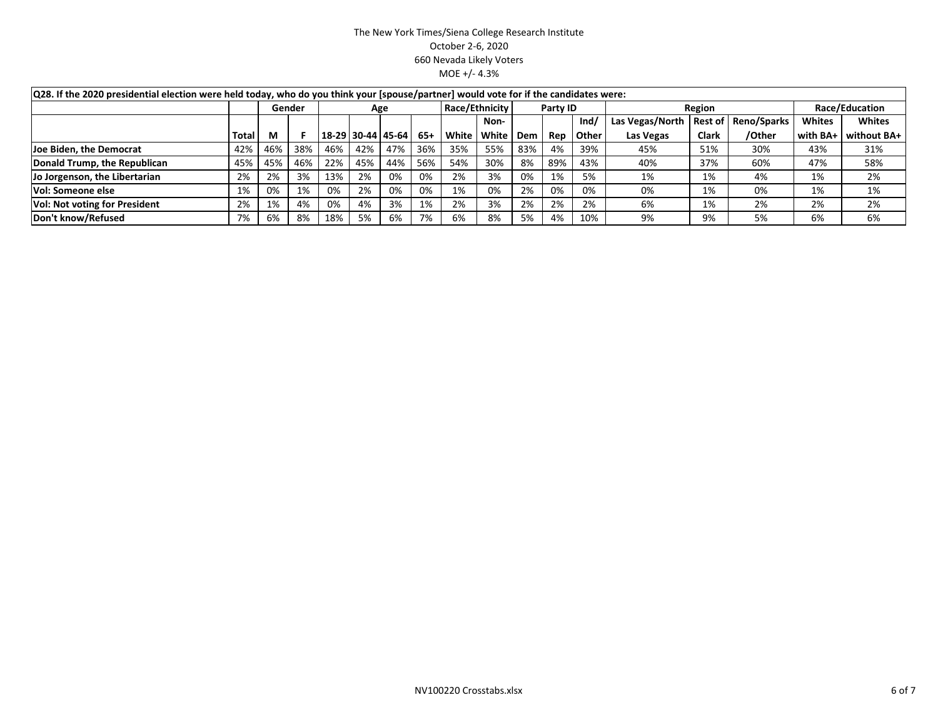| Q28. If the 2020 presidential election were held today, who do you think your [spouse/partner] would vote for if the candidates were: |              |     |        |     |                   |     |       |                |          |     |     |        |                 |                |                    |               |               |
|---------------------------------------------------------------------------------------------------------------------------------------|--------------|-----|--------|-----|-------------------|-----|-------|----------------|----------|-----|-----|--------|-----------------|----------------|--------------------|---------------|---------------|
|                                                                                                                                       |              |     | Gender | Age |                   |     |       | Race/Ethnicity | Party ID |     |     | Region | Race/Education  |                |                    |               |               |
|                                                                                                                                       |              |     |        |     |                   |     |       |                | Non-     |     |     | Ind/   | Las Vegas/North | <b>Rest of</b> | <b>Reno/Sparks</b> | <b>Whites</b> | <b>Whites</b> |
|                                                                                                                                       | <b>Total</b> |     |        |     | 18-29 30-44 45-64 |     | $65+$ | White          | White    | Dem | Rep | Other  | Las Vegas       | <b>Clark</b>   | /Other             | with BA+      | without BA+   |
| Joe Biden, the Democrat                                                                                                               | 42%          | 46% | 38%    | 46% | 42%               | 47% | 36%   | 35%            | 55%      | 83% | 4%  | 39%    | 45%             | 51%            | 30%                | 43%           | 31%           |
| Donald Trump, the Republican                                                                                                          | 45%          | 45% | 46%    | 22% | 45%               | 44% | 56%   | 54%            | 30%      | 8%  | 89% | 43%    | 40%             | 37%            | 60%                | 47%           | 58%           |
| Jo Jorgenson, the Libertarian                                                                                                         | 2%           | 2%  | 3%     | 13% | 2%                | 0%  | 0%    | 2%             | 3%       | 0%  | 1%  | 5%     | 1%              | 1%             | 4%                 | 1%            | 2%            |
| Vol: Someone else                                                                                                                     | 1%           | 0%  | 1%     | 0%  | 2%                | 0%  | 0%    | 1%             | 0%       | 2%  | 0%  | 0%     | 0%              | 1%             | 0%                 | 1%            | 1%            |
| <b>Vol: Not voting for President</b>                                                                                                  | 2%           | 1%  | 4%     | 0%  | 4%                | 3%  | 1%    | 2%             | 3%       | 2%  | 2%  | 2%     | 6%              | 1%             | 2%                 | 2%            | 2%            |
| Don't know/Refused                                                                                                                    | 7%           | 6%  | 8%     | 18% | 5%                | 6%  | 7%    | 6%             | 8%       | 5%  | 4%  | 10%    | 9%              | 9%             | 5%                 | 6%            | 6%            |